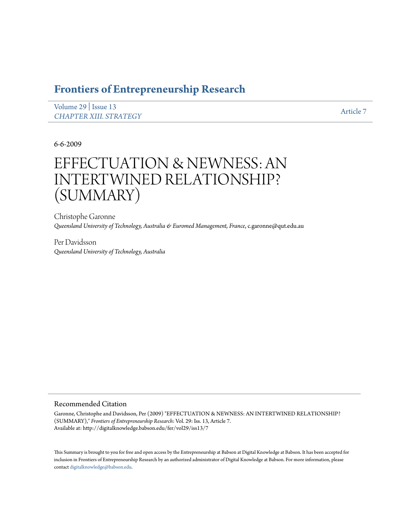# **[Frontiers of Entrepreneurship Research](http://digitalknowledge.babson.edu/fer)**

[Volume 29](http://digitalknowledge.babson.edu/fer/vol29) | [Issue 13](http://digitalknowledge.babson.edu/fer/vol29/iss13) *[CHAPTER XIII. STRATEGY](http://digitalknowledge.babson.edu/fer/vol29/iss13)* [Article 7](http://digitalknowledge.babson.edu/fer/vol29/iss13/7)

6-6-2009

# EFFECTUATION & NEWNESS: AN INTERTWINED RELATIONSHIP? (SUMMARY)

Christophe Garonne *Queensland University of Technology, Australia & Euromed Management, France*, c.garonne@qut.edu.au

Per Davidsson *Queensland University of Technology, Australia*

# Recommended Citation

Garonne, Christophe and Davidsson, Per (2009) "EFFECTUATION & NEWNESS: AN INTERTWINED RELATIONSHIP? (SUMMARY)," *Frontiers of Entrepreneurship Research*: Vol. 29: Iss. 13, Article 7. Available at: http://digitalknowledge.babson.edu/fer/vol29/iss13/7

This Summary is brought to you for free and open access by the Entrepreneurship at Babson at Digital Knowledge at Babson. It has been accepted for inclusion in Frontiers of Entrepreneurship Research by an authorized administrator of Digital Knowledge at Babson. For more information, please contact [digitalknowledge@babson.edu](mailto:digitalknowledge@babson.edu).